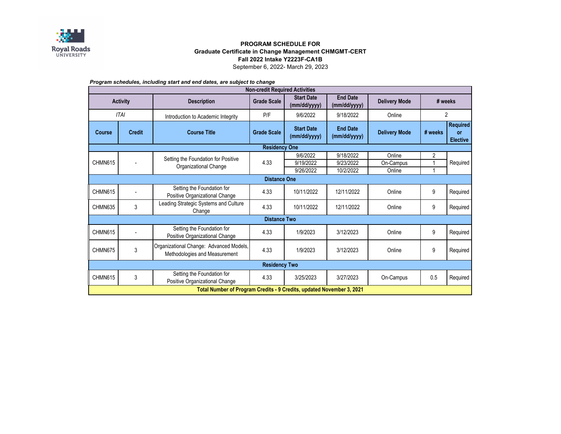

## **PROGRAM SCHEDULE FOR Graduate Certificate in Change Management CHMGMT-CERT Fall 2022 Intake Y2223F-CA1B** September 6, 2022- March 29, 2023

| Program schedules, including start and end dates, are subject to change |  |  |  |
|-------------------------------------------------------------------------|--|--|--|
|-------------------------------------------------------------------------|--|--|--|

| <b>Non-credit Required Activities</b>                                 |                                                              |                                                                          |                    |                                   |                                 |                      |          |                                          |  |  |  |
|-----------------------------------------------------------------------|--------------------------------------------------------------|--------------------------------------------------------------------------|--------------------|-----------------------------------|---------------------------------|----------------------|----------|------------------------------------------|--|--|--|
| <b>Activity</b>                                                       |                                                              | <b>Description</b>                                                       | <b>Grade Scale</b> | <b>Start Date</b><br>(mm/dd/yyyy) | <b>End Date</b><br>(mm/dd/yyyy) | <b>Delivery Mode</b> | # weeks  |                                          |  |  |  |
| ITAI                                                                  |                                                              | Introduction to Academic Integrity                                       | P/F                | 9/6/2022                          | 9/18/2022                       | Online               | 2        |                                          |  |  |  |
| <b>Course</b>                                                         | <b>Credit</b>                                                | <b>Course Title</b>                                                      | <b>Grade Scale</b> | <b>Start Date</b><br>(mm/dd/yyyy) | <b>End Date</b><br>(mm/dd/yyyy) | <b>Delivery Mode</b> | # weeks  | <b>Required</b><br>or<br><b>Elective</b> |  |  |  |
| <b>Residency One</b>                                                  |                                                              |                                                                          |                    |                                   |                                 |                      |          |                                          |  |  |  |
| CHMN615                                                               | Setting the Foundation for Positive<br>Organizational Change | 4.33                                                                     | 9/6/2022           | 9/18/2022                         | Online                          | $\overline{2}$       | Required |                                          |  |  |  |
|                                                                       |                                                              |                                                                          | 9/19/2022          | 9/23/2022                         | On-Campus                       |                      |          |                                          |  |  |  |
|                                                                       |                                                              |                                                                          |                    | 9/26/2022                         | 10/2/2022                       | Online               |          |                                          |  |  |  |
| <b>Distance One</b>                                                   |                                                              |                                                                          |                    |                                   |                                 |                      |          |                                          |  |  |  |
| CHMN615                                                               |                                                              | Setting the Foundation for<br>Positive Organizational Change             | 4.33               | 10/11/2022                        | 12/11/2022                      | Online               | 9        | Required                                 |  |  |  |
| CHMN635                                                               | 3                                                            | Leading Strategic Systems and Culture<br>Change                          | 4.33               | 10/11/2022                        | 12/11/2022                      | Online               | 9        | Required                                 |  |  |  |
| <b>Distance Two</b>                                                   |                                                              |                                                                          |                    |                                   |                                 |                      |          |                                          |  |  |  |
| CHMN615                                                               | $\blacksquare$                                               | Setting the Foundation for<br>Positive Organizational Change             | 4.33               | 1/9/2023                          | 3/12/2023                       | Online               | 9        | Required                                 |  |  |  |
| CHMN675                                                               | 3                                                            | Organizational Change: Advanced Models,<br>Methodologies and Measurement | 4.33               | 1/9/2023                          | 3/12/2023                       | Online               | 9        | Required                                 |  |  |  |
| <b>Residency Two</b>                                                  |                                                              |                                                                          |                    |                                   |                                 |                      |          |                                          |  |  |  |
| CHMN615                                                               | 3                                                            | Setting the Foundation for<br>Positive Organizational Change             | 4.33               | 3/25/2023                         | 3/27/2023                       | On-Campus            | 0.5      | Required                                 |  |  |  |
| Total Number of Program Credits - 9 Credits, updated November 3, 2021 |                                                              |                                                                          |                    |                                   |                                 |                      |          |                                          |  |  |  |